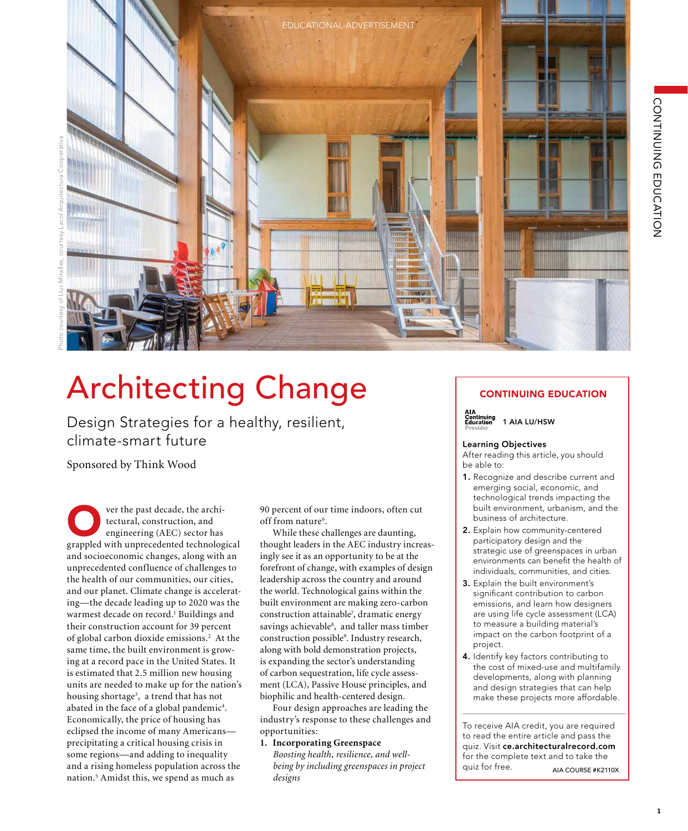

# Architecting Change

Design Strategies for a healthy, resilient, climate-smart future

Sponsored by Think Wood

**Over the past decade, the archi-**<br>tectural, construction, and<br>engineering (AEC) sector has<br>grappled with unprecedented technological tectural, construction, and engineering (AEC) sector has and socioeconomic changes, along with an unprecedented confluence of challenges to the health of our communities, our cities, and our planet. Climate change is accelerating—the decade leading up to 2020 was the warmest decade on record.<sup>1</sup> Buildings and their construction account for 39 percent of global carbon dioxide emissions.<sup>2</sup> At the same time, the built environment is growing at a record pace in the United States. It is estimated that 2.5 million new housing units are needed to make up for the nation's housing shortage<sup>3</sup>, a trend that has not abated in the face of a global pandemic<sup>4</sup>. Economically, the price of housing has eclipsed the income of many Americans precipitating a critical housing crisis in some regions—and adding to inequality and a rising homeless population across the nation.5 Amidst this, we spend as much as

90 percent of our time indoors, often cut off from nature<sup>6</sup>.

While these challenges are daunting, thought leaders in the AEC industry increasingly see it as an opportunity to be at the forefront of change, with examples of design leadership across the country and around the world. Technological gains within the built environment are making zero-carbon construction attainable7 , dramatic energy savings achievable<sup>8</sup>, and taller mass timber construction possible9 . Industry research, along with bold demonstration projects, is expanding the sector's understanding of carbon sequestration, life cycle assessment (LCA), Passive House principles, and biophilic and health-centered design.

Four design approaches are leading the industry's response to these challenges and opportunities:

**1. Incorporating Greenspace**

 *Boosting health, resilience, and well being by including greenspaces in project designs*

## CONTINUING EDUCATION

AIA<br>Continuing<br>Education 1 AIA LU/HSW

#### Learning Objectives

After reading this article, you should be able to:

- 1. Recognize and describe current and emerging social, economic, and technological trends impacting the built environment, urbanism, and the business of architecture.
- 2. Explain how community-centered participatory design and the strategic use of greenspaces in urban environments can benefit the health of individuals, communities, and cities.
- 3. Explain the built environment's significant contribution to carbon emissions, and learn how designers are using life cycle assessment (LCA) to measure a building material's impact on the carbon footprint of a project.
- 4. Identify key factors contributing to the cost of mixed-use and multifamily developments, along with planning and design strategies that can help make these projects more affordable.

To receive AIA credit, you are required to read the entire article and pass the quiz. Visit ce.architecturalrecord.com for the complete text and to take the quiz for free. AIA COURSE #K2110X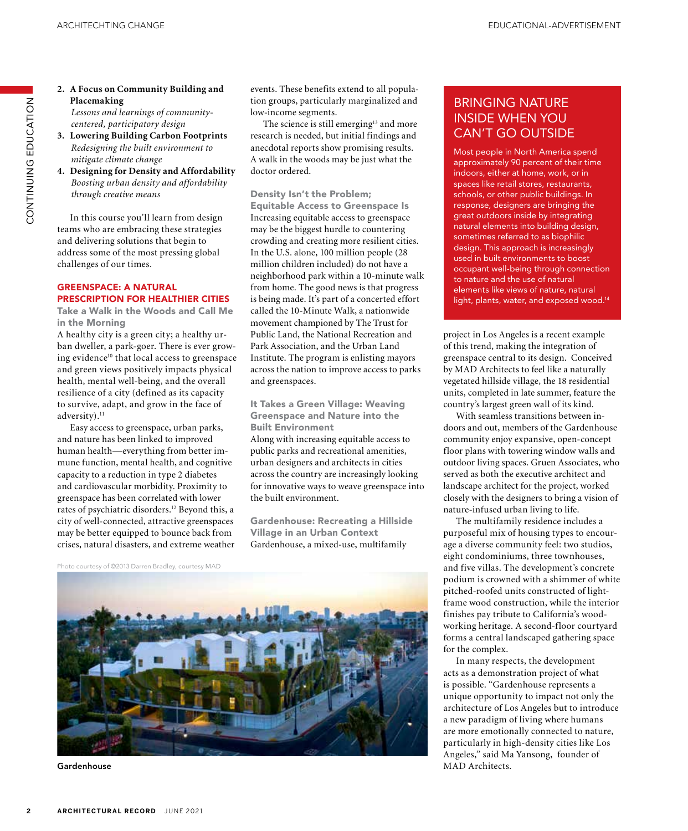**2. A Focus on Community Building and Placemaking**

 *Lessons and learnings of community centered, participatory design*

- **3. Lowering Building Carbon Footprints** *Redesigning the built environment to mitigate climate change*
- **4. Designing for Density and Affordability** *Boosting urban density and affordability through creative means*

In this course you'll learn from design teams who are embracing these strategies and delivering solutions that begin to address some of the most pressing global challenges of our times.

#### GREENSPACE: A NATURAL PRESCRIPTION FOR HEALTHIER CITIES

Take a Walk in the Woods and Call Me in the Morning

A healthy city is a green city; a healthy urban dweller, a park-goer. There is ever growing evidence<sup>10</sup> that local access to greenspace and green views positively impacts physical health, mental well-being, and the overall resilience of a city (defined as its capacity to survive, adapt, and grow in the face of adversity).<sup>11</sup>

Easy access to greenspace, urban parks, and nature has been linked to improved human health—everything from better immune function, mental health, and cognitive capacity to a reduction in type 2 diabetes and cardiovascular morbidity. Proximity to greenspace has been correlated with lower rates of psychiatric disorders.12 Beyond this, a city of well-connected, attractive greenspaces may be better equipped to bounce back from crises, natural disasters, and extreme weather events. These benefits extend to all population groups, particularly marginalized and low-income segments.

The science is still emerging<sup>13</sup> and more research is needed, but initial findings and anecdotal reports show promising results. A walk in the woods may be just what the doctor ordered.

#### Density Isn't the Problem;

Equitable Access to Greenspace Is Increasing equitable access to greenspace may be the biggest hurdle to countering crowding and creating more resilient cities. In the U.S. alone, 100 million people (28 million children included) do not have a neighborhood park within a 10-minute walk from home. The good news is that progress is being made. It's part of a concerted effort called the 10-Minute Walk, a nationwide movement championed by The Trust for Public Land, the National Recreation and Park Association, and the Urban Land Institute. The program is enlisting mayors across the nation to improve access to parks and greenspaces.

It Takes a Green Village: Weaving Greenspace and Nature into the Built Environment

Along with increasing equitable access to public parks and recreational amenities, urban designers and architects in cities across the country are increasingly looking for innovative ways to weave greenspace into the built environment.

Gardenhouse: Recreating a Hillside Village in an Urban Context Gardenhouse, a mixed-use, multifamily

Photo courtesy of ©2013 Darren Bradley, courtesy MAD



Gardenhouse

## BRINGING NATURE INSIDE WHEN YOU CAN'T GO OUTSIDE

Most people in North America spend approximately 90 percent of their time indoors, either at home, work, or in spaces like retail stores, restaurants, schools, or other public buildings. In response, designers are bringing the great outdoors inside by integrating natural elements into building design, sometimes referred to as biophilic design. This approach is increasingly used in built environments to boost occupant well-being through connection to nature and the use of natural elements like views of nature, natural light, plants, water, and exposed wood.<sup>14</sup>

project in Los Angeles is a recent example of this trend, making the integration of greenspace central to its design. Conceived by MAD Architects to feel like a naturally vegetated hillside village, the 18 residential units, completed in late summer, feature the country's largest green wall of its kind.

With seamless transitions between indoors and out, members of the Gardenhouse community enjoy expansive, open-concept floor plans with towering window walls and outdoor living spaces. Gruen Associates, who served as both the executive architect and landscape architect for the project, worked closely with the designers to bring a vision of nature-infused urban living to life.

The multifamily residence includes a purposeful mix of housing types to encourage a diverse community feel: two studios, eight condominiums, three townhouses, and five villas. The development's concrete podium is crowned with a shimmer of white pitched-roofed units constructed of lightframe wood construction, while the interior finishes pay tribute to California's woodworking heritage. A second-floor courtyard forms a central landscaped gathering space for the complex.

In many respects, the development acts as a demonstration project of what is possible. "Gardenhouse represents a unique opportunity to impact not only the architecture of Los Angeles but to introduce a new paradigm of living where humans are more emotionally connected to nature, particularly in high-density cities like Los Angeles," said Ma Yansong, founder of MAD Architects.

ZOI-YUNG UNINNINZOU

CONTINUING EDUCATION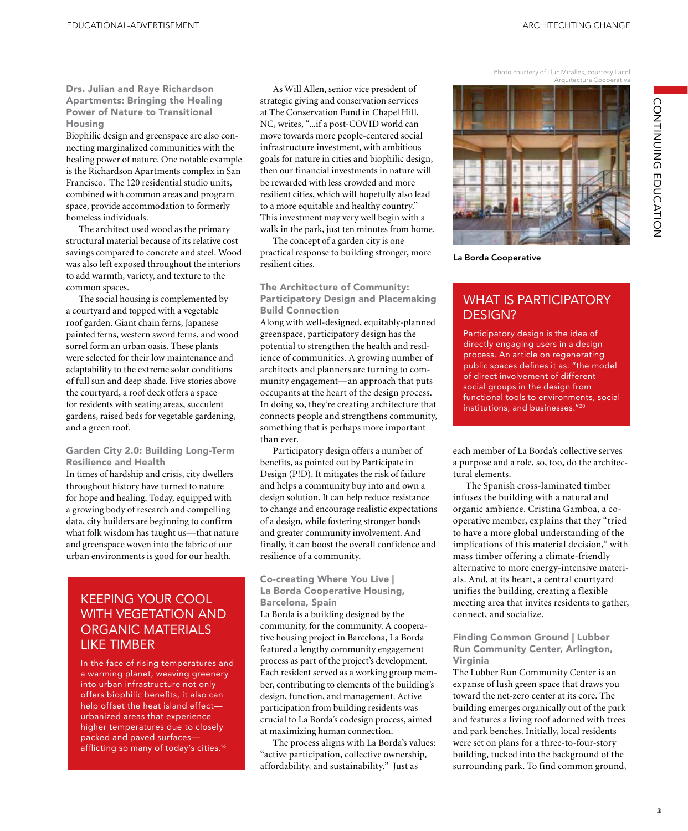Drs. Julian and Raye Richardson Apartments: Bringing the Healing Power of Nature to Transitional Housing

Biophilic design and greenspace are also connecting marginalized communities with the healing power of nature. One notable example is the Richardson Apartments complex in San Francisco. The 120 residential studio units, combined with common areas and program space, provide accommodation to formerly homeless individuals.

The architect used wood as the primary structural material because of its relative cost savings compared to concrete and steel. Wood was also left exposed throughout the interiors to add warmth, variety, and texture to the common spaces.

The social housing is complemented by a courtyard and topped with a vegetable roof garden. Giant chain ferns, Japanese painted ferns, western sword ferns, and wood sorrel form an urban oasis. These plants were selected for their low maintenance and adaptability to the extreme solar conditions of full sun and deep shade. Five stories above the courtyard, a roof deck offers a space for residents with seating areas, succulent gardens, raised beds for vegetable gardening, and a green roof.

#### Garden City 2.0: Building Long-Term Resilience and Health

In times of hardship and crisis, city dwellers throughout history have turned to nature for hope and healing. Today, equipped with a growing body of research and compelling data, city builders are beginning to confirm what folk wisdom has taught us—that nature and greenspace woven into the fabric of our urban environments is good for our health.

## KEEPING YOUR COOL WITH VEGETATION AND ORGANIC MATERIALS LIKE TIMBER

In the face of rising temperatures and a warming planet, weaving greenery into urban infrastructure not only offers biophilic benefits, it also can help offset the heat island effect urbanized areas that experience higher temperatures due to closely packed and paved surfaces afflicting so many of today's cities.<sup>16</sup>

As Will Allen, senior vice president of strategic giving and conservation services at The Conservation Fund in Chapel Hill, NC, writes, "...if a post-COVID world can move towards more people-centered social infrastructure investment, with ambitious goals for nature in cities and biophilic design, then our financial investments in nature will be rewarded with less crowded and more resilient cities, which will hopefully also lead to a more equitable and healthy country." This investment may very well begin with a walk in the park, just ten minutes from home.

The concept of a garden city is one practical response to building stronger, more resilient cities.

The Architecture of Community: Participatory Design and Placemaking Build Connection

Along with well-designed, equitably-planned greenspace, participatory design has the potential to strengthen the health and resilience of communities. A growing number of architects and planners are turning to community engagement—an approach that puts occupants at the heart of the design process. In doing so, they're creating architecture that connects people and strengthens community, something that is perhaps more important than ever.

Participatory design offers a number of benefits, as pointed out by Participate in Design (P!D). It mitigates the risk of failure and helps a community buy into and own a design solution. It can help reduce resistance to change and encourage realistic expectations of a design, while fostering stronger bonds and greater community involvement. And finally, it can boost the overall confidence and resilience of a community.

#### Co-creating Where You Live | La Borda Cooperative Housing, Barcelona, Spain

La Borda is a building designed by the community, for the community. A cooperative housing project in Barcelona, La Borda featured a lengthy community engagement process as part of the project's development. Each resident served as a working group member, contributing to elements of the building's design, function, and management. Active participation from building residents was crucial to La Borda's codesign process, aimed at maximizing human connection.

The process aligns with La Borda's values: "active participation, collective ownership, affordability, and sustainability." Just as

Photo courtesy of Lluc Miralles, courtesy Lacol Arquitectura Cooperativa



La Borda Cooperative

## WHAT IS PARTICIPATORY DESIGN?

Participatory design is the idea of directly engaging users in a design process. An article on regenerating public spaces defines it as: "the model of direct involvement of different social groups in the design from functional tools to environments, social institutions, and businesses."20

each member of La Borda's collective serves a purpose and a role, so, too, do the architectural elements.

The Spanish cross-laminated timber infuses the building with a natural and organic ambience. Cristina Gamboa, a cooperative member, explains that they "tried to have a more global understanding of the implications of this material decision," with mass timber offering a climate-friendly alternative to more energy-intensive materials. And, at its heart, a central courtyard unifies the building, creating a flexible meeting area that invites residents to gather, connect, and socialize.

#### Finding Common Ground | Lubber Run Community Center, Arlington, Virginia

The Lubber Run Community Center is an expanse of lush green space that draws you toward the net-zero center at its core. The building emerges organically out of the park and features a living roof adorned with trees and park benches. Initially, local residents were set on plans for a three-to-four-story building, tucked into the background of the surrounding park. To find common ground,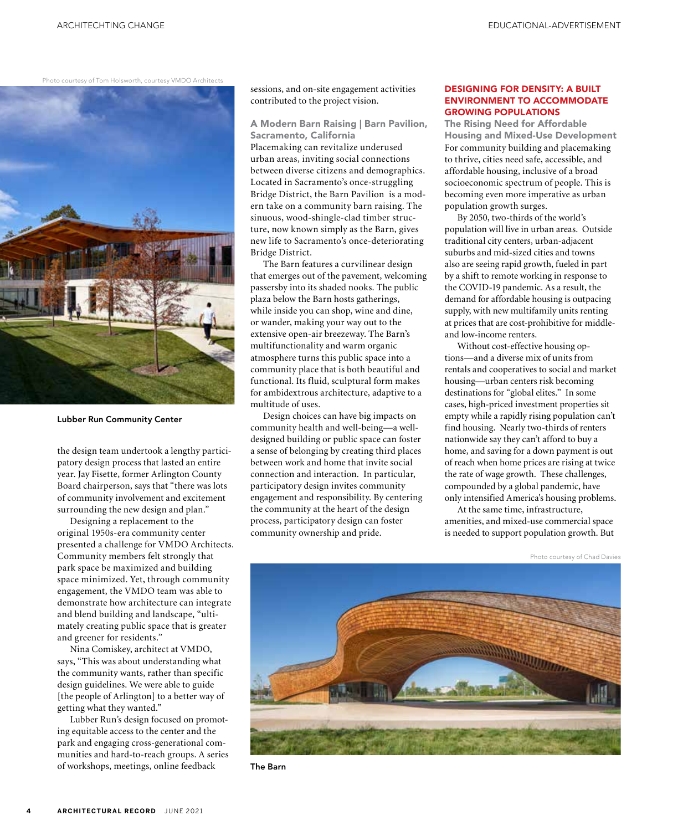Photo courtesy of Tom Holsworth, courtesy VMDO Architects



Lubber Run Community Center

the design team undertook a lengthy participatory design process that lasted an entire year. Jay Fisette, former Arlington County Board chairperson, says that "there was lots of community involvement and excitement surrounding the new design and plan."

Designing a replacement to the original 1950s-era community center presented a challenge for VMDO Architects. Community members felt strongly that park space be maximized and building space minimized. Yet, through community engagement, the VMDO team was able to demonstrate how architecture can integrate and blend building and landscape, "ultimately creating public space that is greater and greener for residents."

Nina Comiskey, architect at VMDO, says, "This was about understanding what the community wants, rather than specific design guidelines. We were able to guide [the people of Arlington] to a better way of getting what they wanted."

Lubber Run's design focused on promoting equitable access to the center and the park and engaging cross-generational communities and hard-to-reach groups. A series of workshops, meetings, online feedback

sessions, and on-site engagement activities contributed to the project vision.

A Modern Barn Raising | Barn Pavilion, Sacramento, California Placemaking can revitalize underused urban areas, inviting social connections between diverse citizens and demographics. Located in Sacramento's once-struggling Bridge District, the Barn Pavilion is a modern take on a community barn raising. The sinuous, wood-shingle-clad timber structure, now known simply as the Barn, gives new life to Sacramento's once-deteriorating Bridge District.

The Barn features a curvilinear design that emerges out of the pavement, welcoming passersby into its shaded nooks. The public plaza below the Barn hosts gatherings, while inside you can shop, wine and dine, or wander, making your way out to the extensive open-air breezeway. The Barn's multifunctionality and warm organic atmosphere turns this public space into a community place that is both beautiful and functional. Its fluid, sculptural form makes for ambidextrous architecture, adaptive to a multitude of uses.

Design choices can have big impacts on community health and well-being—a welldesigned building or public space can foster a sense of belonging by creating third places between work and home that invite social connection and interaction. In particular, participatory design invites community engagement and responsibility. By centering the community at the heart of the design process, participatory design can foster community ownership and pride.

#### DESIGNING FOR DENSITY: A BUILT ENVIRONMENT TO ACCOMMODATE GROWING POPULATIONS

The Rising Need for Affordable Housing and Mixed-Use Development For community building and placemaking to thrive, cities need safe, accessible, and affordable housing, inclusive of a broad socioeconomic spectrum of people. This is becoming even more imperative as urban population growth surges.

By 2050, two-thirds of the world's population will live in urban areas. Outside traditional city centers, urban-adjacent suburbs and mid-sized cities and towns also are seeing rapid growth, fueled in part by a shift to remote working in response to the COVID-19 pandemic. As a result, the demand for affordable housing is outpacing supply, with new multifamily units renting at prices that are cost-prohibitive for middleand low-income renters.

Without cost-effective housing options—and a diverse mix of units from rentals and cooperatives to social and market housing—urban centers risk becoming destinations for "global elites." In some cases, high-priced investment properties sit empty while a rapidly rising population can't find housing. Nearly two-thirds of renters nationwide say they can't afford to buy a home, and saving for a down payment is out of reach when home prices are rising at twice the rate of wage growth. These challenges, compounded by a global pandemic, have only intensified America's housing problems.

At the same time, infrastructure, amenities, and mixed-use commercial space is needed to support population growth. But

Photo courtesy of Chad Davies



The Barn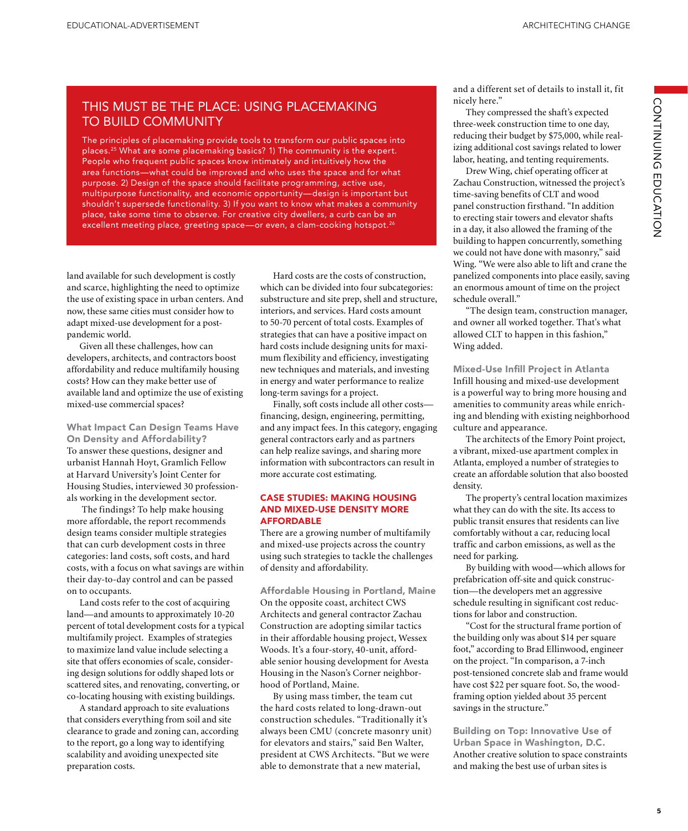## THIS MUST BE THE PLACE: USING PLACEMAKING TO BUILD COMMUNITY

The principles of placemaking provide tools to transform our public spaces into places.25 What are some placemaking basics? 1) The community is the expert. People who frequent public spaces know intimately and intuitively how the area functions—what could be improved and who uses the space and for what purpose. 2) Design of the space should facilitate programming, active use, multipurpose functionality, and economic opportunity—design is important but shouldn't supersede functionality. 3) If you want to know what makes a community place, take some time to observe. For creative city dwellers, a curb can be an excellent meeting place, greeting space—or even, a clam-cooking hotspot.<sup>26</sup>

land available for such development is costly and scarce, highlighting the need to optimize the use of existing space in urban centers. And now, these same cities must consider how to adapt mixed-use development for a postpandemic world.

Given all these challenges, how can developers, architects, and contractors boost affordability and reduce multifamily housing costs? How can they make better use of available land and optimize the use of existing mixed-use commercial spaces?

What Impact Can Design Teams Have On Density and Affordability? To answer these questions, designer and urbanist Hannah Hoyt, Gramlich Fellow at Harvard University's Joint Center for Housing Studies, interviewed 30 professionals working in the development sector.

 The findings? To help make housing more affordable, the report recommends design teams consider multiple strategies that can curb development costs in three categories: land costs, soft costs, and hard costs, with a focus on what savings are within their day-to-day control and can be passed on to occupants.

Land costs refer to the cost of acquiring land—and amounts to approximately 10-20 percent of total development costs for a typical multifamily project. Examples of strategies to maximize land value include selecting a site that offers economies of scale, considering design solutions for oddly shaped lots or scattered sites, and renovating, converting, or co-locating housing with existing buildings.

A standard approach to site evaluations that considers everything from soil and site clearance to grade and zoning can, according to the report, go a long way to identifying scalability and avoiding unexpected site preparation costs.

Hard costs are the costs of construction, which can be divided into four subcategories: substructure and site prep, shell and structure, interiors, and services. Hard costs amount to 50-70 percent of total costs. Examples of strategies that can have a positive impact on hard costs include designing units for maximum flexibility and efficiency, investigating new techniques and materials, and investing in energy and water performance to realize long-term savings for a project.

Finally, soft costs include all other costs financing, design, engineering, permitting, and any impact fees. In this category, engaging general contractors early and as partners can help realize savings, and sharing more information with subcontractors can result in more accurate cost estimating.

#### CASE STUDIES: MAKING HOUSING AND MIXED-USE DENSITY MORE AFFORDABLE

There are a growing number of multifamily and mixed-use projects across the country using such strategies to tackle the challenges of density and affordability.

Affordable Housing in Portland, Maine On the opposite coast, architect CWS Architects and general contractor Zachau Construction are adopting similar tactics in their affordable housing project, Wessex Woods. It's a four-story, 40-unit, affordable senior housing development for Avesta Housing in the Nason's Corner neighborhood of Portland, Maine.

By using mass timber, the team cut the hard costs related to long-drawn-out construction schedules. "Traditionally it's always been CMU (concrete masonry unit) for elevators and stairs," said Ben Walter, president at CWS Architects. "But we were able to demonstrate that a new material,

and a different set of details to install it, fit nicely here."

They compressed the shaft's expected three-week construction time to one day, reducing their budget by \$75,000, while realizing additional cost savings related to lower labor, heating, and tenting requirements.

Drew Wing, chief operating officer at Zachau Construction, witnessed the project's time-saving benefits of CLT and wood panel construction firsthand. "In addition to erecting stair towers and elevator shafts in a day, it also allowed the framing of the building to happen concurrently, something we could not have done with masonry," said Wing. "We were also able to lift and crane the panelized components into place easily, saving an enormous amount of time on the project schedule overall."

"The design team, construction manager, and owner all worked together. That's what allowed CLT to happen in this fashion," Wing added.

Mixed-Use Infill Project in Atlanta Infill housing and mixed-use development is a powerful way to bring more housing and amenities to community areas while enriching and blending with existing neighborhood culture and appearance.

The architects of the Emory Point project, a vibrant, mixed-use apartment complex in Atlanta, employed a number of strategies to create an affordable solution that also boosted density.

The property's central location maximizes what they can do with the site. Its access to public transit ensures that residents can live comfortably without a car, reducing local traffic and carbon emissions, as well as the need for parking.

By building with wood—which allows for prefabrication off-site and quick construction—the developers met an aggressive schedule resulting in significant cost reductions for labor and construction.

"Cost for the structural frame portion of the building only was about \$14 per square foot," according to Brad Ellinwood, engineer on the project. "In comparison, a 7-inch post-tensioned concrete slab and frame would have cost \$22 per square foot. So, the woodframing option yielded about 35 percent savings in the structure."

Building on Top: Innovative Use of Urban Space in Washington, D.C. Another creative solution to space constraints and making the best use of urban sites is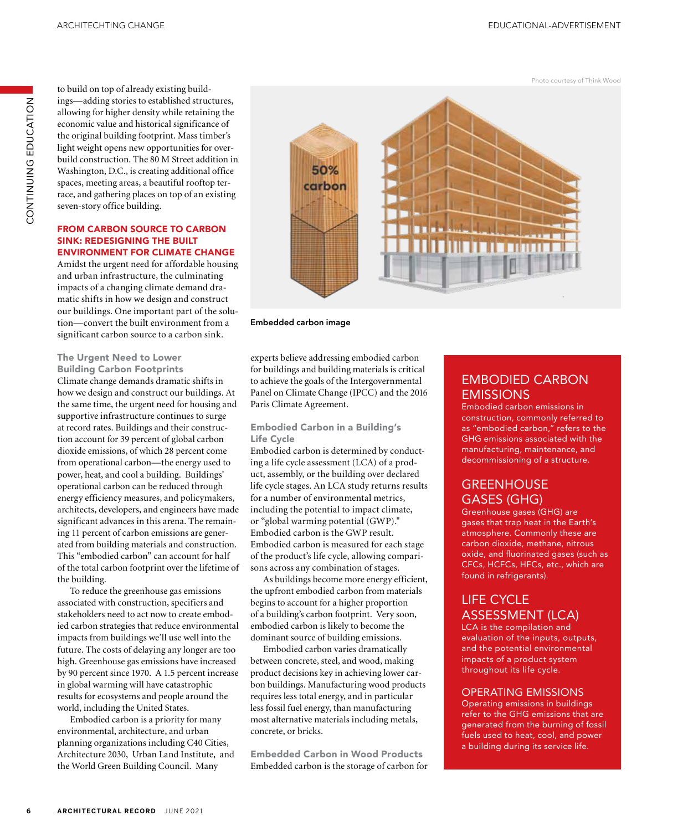Photo courtesy of Think Wood

to build on top of already existing buildings—adding stories to established structures, allowing for higher density while retaining the economic value and historical significance of the original building footprint. Mass timber's light weight opens new opportunities for overbuild construction. The 80 M Street addition in Washington, D.C., is creating additional office spaces, meeting areas, a beautiful rooftop terrace, and gathering places on top of an existing seven-story office building.

#### FROM CARBON SOURCE TO CARBON SINK: REDESIGNING THE BUILT ENVIRONMENT FOR CLIMATE CHANGE

Amidst the urgent need for affordable housing and urban infrastructure, the culminating impacts of a changing climate demand dramatic shifts in how we design and construct our buildings. One important part of the solution—convert the built environment from a significant carbon source to a carbon sink.

The Urgent Need to Lower

Building Carbon Footprints Climate change demands dramatic shifts in how we design and construct our buildings. At the same time, the urgent need for housing and supportive infrastructure continues to surge at record rates. Buildings and their construction account for 39 percent of global carbon dioxide emissions, of which 28 percent come from operational carbon—the energy used to power, heat, and cool a building. Buildings' operational carbon can be reduced through energy efficiency measures, and policymakers, architects, developers, and engineers have made significant advances in this arena. The remaining 11 percent of carbon emissions are generated from building materials and construction. This "embodied carbon" can account for half of the total carbon footprint over the lifetime of the building.

To reduce the greenhouse gas emissions associated with construction, specifiers and stakeholders need to act now to create embodied carbon strategies that reduce environmental impacts from buildings we'll use well into the future. The costs of delaying any longer are too high. Greenhouse gas emissions have increased by 90 percent since 1970. A 1.5 percent increase in global warming will have catastrophic results for ecosystems and people around the world, including the United States.

Embodied carbon is a priority for many environmental, architecture, and urban planning organizations including C40 Cities, Architecture 2030, Urban Land Institute, and the World Green Building Council. Many



#### Embedded carbon image

experts believe addressing embodied carbon for buildings and building materials is critical to achieve the goals of the Intergovernmental Panel on Climate Change (IPCC) and the 2016 Paris Climate Agreement.

#### Embodied Carbon in a Building's Life Cycle

Embodied carbon is determined by conducting a life cycle assessment (LCA) of a product, assembly, or the building over declared life cycle stages. An LCA study returns results for a number of environmental metrics, including the potential to impact climate, or "global warming potential (GWP)." Embodied carbon is the GWP result. Embodied carbon is measured for each stage of the product's life cycle, allowing comparisons across any combination of stages.

As buildings become more energy efficient, the upfront embodied carbon from materials begins to account for a higher proportion of a building's carbon footprint. Very soon, embodied carbon is likely to become the dominant source of building emissions.

Embodied carbon varies dramatically between concrete, steel, and wood, making product decisions key in achieving lower carbon buildings. Manufacturing wood products requires less total energy, and in particular less fossil fuel energy, than manufacturing most alternative materials including metals, concrete, or bricks.

Embedded Carbon in Wood Products Embedded carbon is the storage of carbon for

## EMBODIED CARBON **EMISSIONS**

Embodied carbon emissions in construction, commonly referred to as "embodied carbon," refers to the GHG emissions associated with the manufacturing, maintenance, and decommissioning of a structure.

## **GREENHOUSE** GASES (GHG)

Greenhouse gases (GHG) are gases that trap heat in the Earth's atmosphere. Commonly these are carbon dioxide, methane, nitrous oxide, and fluorinated gases (such as CFCs, HCFCs, HFCs, etc., which are found in refrigerants).

## LIFE CYCLE ASSESSMENT (LCA)

LCA is the compilation and evaluation of the inputs, outputs, and the potential environmental impacts of a product system throughout its life cycle.

#### OPERATING EMISSIONS

Operating emissions in buildings refer to the GHG emissions that are generated from the burning of fossil fuels used to heat, cool, and power a building during its service life.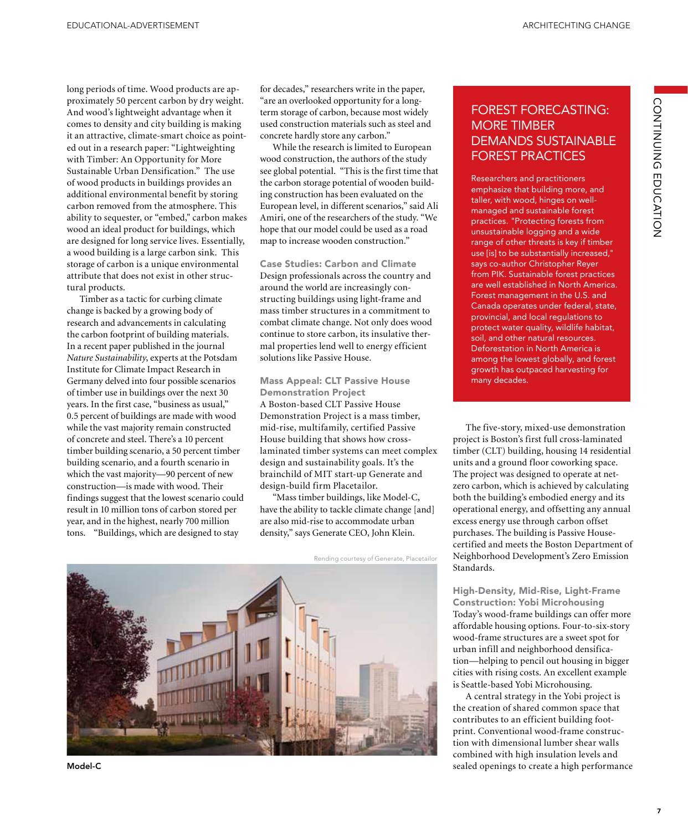long periods of time. Wood products are approximately 50 percent carbon by dry weight. And wood's lightweight advantage when it comes to density and city building is making it an attractive, climate-smart choice as pointed out in a research paper: "Lightweighting with Timber: An Opportunity for More Sustainable Urban Densification." The use of wood products in buildings provides an additional environmental benefit by storing carbon removed from the atmosphere. This ability to sequester, or "embed," carbon makes wood an ideal product for buildings, which are designed for long service lives. Essentially, a wood building is a large carbon sink. This storage of carbon is a unique environmental attribute that does not exist in other structural products.

Timber as a tactic for curbing climate change is backed by a growing body of research and advancements in calculating the carbon footprint of building materials. In a recent paper published in the journal *Nature Sustainability*, experts at the Potsdam Institute for Climate Impact Research in Germany delved into four possible scenarios of timber use in buildings over the next 30 years. In the first case, "business as usual," 0.5 percent of buildings are made with wood while the vast majority remain constructed of concrete and steel. There's a 10 percent timber building scenario, a 50 percent timber building scenario, and a fourth scenario in which the vast majority—90 percent of new construction—is made with wood. Their findings suggest that the lowest scenario could result in 10 million tons of carbon stored per year, and in the highest, nearly 700 million tons. "Buildings, which are designed to stay

for decades," researchers write in the paper, "are an overlooked opportunity for a longterm storage of carbon, because most widely used construction materials such as steel and concrete hardly store any carbon."

While the research is limited to European wood construction, the authors of the study see global potential. "This is the first time that the carbon storage potential of wooden building construction has been evaluated on the European level, in different scenarios," said Ali Amiri, one of the researchers of the study. "We hope that our model could be used as a road map to increase wooden construction."

Case Studies: Carbon and Climate Design professionals across the country and around the world are increasingly constructing buildings using light-frame and mass timber structures in a commitment to combat climate change. Not only does wood continue to store carbon, its insulative thermal properties lend well to energy efficient solutions like Passive House.

#### Mass Appeal: CLT Passive House Demonstration Project

A Boston-based CLT Passive House Demonstration Project is a mass timber, mid-rise, multifamily, certified Passive House building that shows how crosslaminated timber systems can meet complex design and sustainability goals. It's the brainchild of MIT start-up Generate and design-build firm Placetailor.

"Mass timber buildings, like Model-C, have the ability to tackle climate change [and] are also mid-rise to accommodate urban density," says Generate CEO, John Klein.



Rending courtesy of Generate, Placetailor

## FOREST FORECASTING: MORE TIMBER DEMANDS SUSTAINABLE FOREST PRACTICES

Researchers and practitioners emphasize that building more, and taller, with wood, hinges on wellmanaged and sustainable forest practices. "Protecting forests from unsustainable logging and a wide range of other threats is key if timber use [is] to be substantially increased," says co-author Christopher Reyer from PIK. Sustainable forest practices are well established in North America. Forest management in the U.S. and Canada operates under federal, state, provincial, and local regulations to protect water quality, wildlife habitat, soil, and other natural resources. Deforestation in North America is among the lowest globally, and forest growth has outpaced harvesting for many decades.

The five-story, mixed-use demonstration project is Boston's first full cross-laminated timber (CLT) building, housing 14 residential units and a ground floor coworking space. The project was designed to operate at netzero carbon, which is achieved by calculating both the building's embodied energy and its operational energy, and offsetting any annual excess energy use through carbon offset purchases. The building is Passive Housecertified and meets the Boston Department of Neighborhood Development's Zero Emission Standards.

High-Density, Mid-Rise, Light-Frame Construction: Yobi Microhousing Today's wood-frame buildings can offer more affordable housing options. Four-to-six-story wood-frame structures are a sweet spot for urban infill and neighborhood densification—helping to pencil out housing in bigger cities with rising costs. An excellent example is Seattle-based Yobi Microhousing.

A central strategy in the Yobi project is the creation of shared common space that contributes to an efficient building footprint. Conventional wood-frame construction with dimensional lumber shear walls combined with high insulation levels and Model-C sealed openings to create a high performance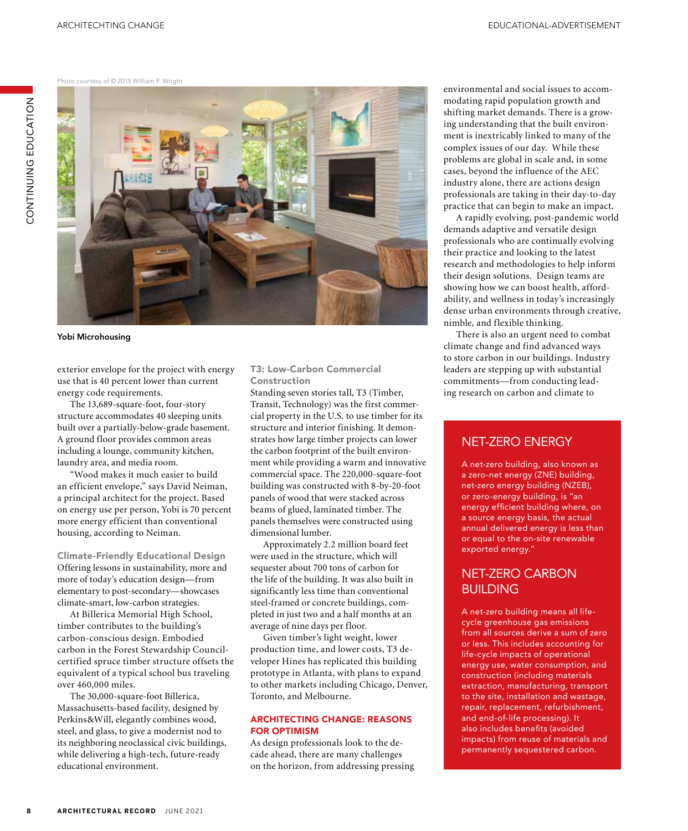Photo courtesy of © 2015 William P. Wright



Yobi Microhousing

exterior envelope for the project with energy use that is 40 percent lower than current energy code requirements.

The 13,689-square-foot, four-story structure accommodates 40 sleeping units built over a partially-below-grade basement. A ground floor provides common areas including a lounge, community kitchen, laundry area, and media room.

"Wood makes it much easier to build an efficient envelope," says David Neiman, a principal architect for the project. Based on energy use per person, Yobi is 70 percent more energy efficient than conventional housing, according to Neiman.

Climate-Friendly Educational Design Offering lessons in sustainability, more and more of today's education design—from elementary to post-secondary—showcases climate-smart, low-carbon strategies.

At Billerica Memorial High School, timber contributes to the building's carbon-conscious design. Embodied carbon in the Forest Stewardship Councilcertified spruce timber structure offsets the equivalent of a typical school bus traveling over 460,000 miles.

The 30,000-square-foot Billerica, Massachusetts-based facility, designed by Perkins&Will, elegantly combines wood, steel, and glass, to give a modernist nod to its neighboring neoclassical civic buildings, while delivering a high-tech, future-ready educational environment.

T3: Low-Carbon Commercial Construction

Standing seven stories tall, T3 (Timber, Transit, Technology) was the first commercial property in the U.S. to use timber for its structure and interior finishing. It demonstrates how large timber projects can lower the carbon footprint of the built environment while providing a warm and innovative commercial space. The 220,000-square-foot building was constructed with 8-by-20-foot panels of wood that were stacked across beams of glued, laminated timber. The panels themselves were constructed using dimensional lumber.

Approximately 2.2 million board feet were used in the structure, which will sequester about 700 tons of carbon for the life of the building. It was also built in significantly less time than conventional steel-framed or concrete buildings, completed in just two and a half months at an average of nine days per floor.

Given timber's light weight, lower production time, and lower costs, T3 developer Hines has replicated this building prototype in Atlanta, with plans to expand to other markets including Chicago, Denver, Toronto, and Melbourne.

### ARCHITECTING CHANGE: REASONS FOR OPTIMISM

As design professionals look to the decade ahead, there are many challenges on the horizon, from addressing pressing environmental and social issues to accommodating rapid population growth and shifting market demands. There is a growing understanding that the built environment is inextricably linked to many of the complex issues of our day. While these problems are global in scale and, in some cases, beyond the influence of the AEC industry alone, there are actions design professionals are taking in their day-to-day practice that can begin to make an impact.

A rapidly evolving, post-pandemic world demands adaptive and versatile design professionals who are continually evolving their practice and looking to the latest research and methodologies to help inform their design solutions. Design teams are showing how we can boost health, affordability, and wellness in today's increasingly dense urban environments through creative, nimble, and flexible thinking.

There is also an urgent need to combat climate change and find advanced ways to store carbon in our buildings. Industry leaders are stepping up with substantial commitments—from conducting leading research on carbon and climate to

## NET-ZERO ENERGY

A net-zero building, also known as a zero-net energy (ZNE) building, net-zero energy building (NZEB), or zero-energy building, is "an energy efficient building where, on a source energy basis, the actual annual delivered energy is less than or equal to the on-site renewable exported energy."

## NET-ZERO CARBON BUILDING

A net-zero building means all lifecycle greenhouse gas emissions from all sources derive a sum of zero or less. This includes accounting for life-cycle impacts of operational energy use, water consumption, and construction (including materials extraction, manufacturing, transport to the site, installation and wastage, repair, replacement, refurbishment, and end-of-life processing). It also includes benefits (avoided impacts) from reuse of materials and permanently sequestered carbon.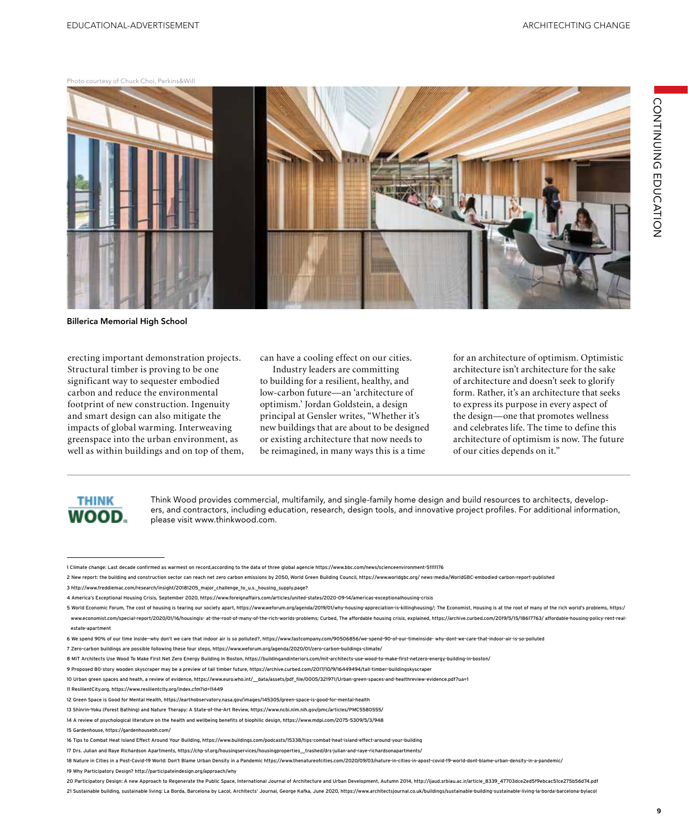#### Photo courtesy of Chuck Choi, Perkins&Will



Billerica Memorial High School

erecting important demonstration projects. Structural timber is proving to be one significant way to sequester embodied carbon and reduce the environmental footprint of new construction. Ingenuity and smart design can also mitigate the impacts of global warming. Interweaving greenspace into the urban environment, as well as within buildings and on top of them, can have a cooling effect on our cities.

Industry leaders are committing to building for a resilient, healthy, and low-carbon future—an 'architecture of optimism.' Jordan Goldstein, a design principal at Gensler writes, "Whether it's new buildings that are about to be designed or existing architecture that now needs to be reimagined, in many ways this is a time

for an architecture of optimism. Optimistic architecture isn't architecture for the sake of architecture and doesn't seek to glorify form. Rather, it's an architecture that seeks to express its purpose in every aspect of the design—one that promotes wellness and celebrates life. The time to define this architecture of optimism is now. The future of our cities depends on it."



Think Wood provides commercial, multifamily, and single-family home design and build resources to architects, developers, and contractors, including education, research, design tools, and innovative project profiles. For additional information, please visit www.thinkwood.com.

7 Zero-carbon buildings are possible following these four steps, https://www.weforum.org/agenda/2020/01/zero-carbon-buildings-climate/

9 Proposed 80-story wooden skyscraper may be a preview of tall timber future, https://archive.curbed.com/2017/10/9/16449494/tall-timber-buildingskyscraper

11 ResilientCity.org, https://www.resilientcity.org/index.cfm?id=11449

13 Shinrin-Yoku (Forest Bathing) and Nature Therapy: A State-of-the-Art Review, https://www.ncbi.nlm.nih.gov/pmc/articles/PMC5580555/

19 Why Participatory Design? http://participateindesign.org/approach/why

21 Sustainable building, sustainable living: La Borda, Barcelona by Lacol, Architects' Journal, George Kafka, June 2020, https://www.architectsjournal.co.uk/buildings/sustainable-building-sustainable-living-la-borda-barcel

<sup>1</sup> Climate change: Last decade confirmed as warmest on record,according to the data of three global agencie https://www.bbc.com/news/scienceenvironment-51111176

<sup>2</sup> New report: the building and construction sector can reach net zero carbon emissions by 2050, World Green Building Council, https://www.worldgbc.org/ news-media/WorldGBC-embodied-carbon-report-published

<sup>3</sup> http://www.freddiemac.com/research/insight/20181205\_major\_challenge\_to\_u.s.\_housing\_supply.page?

<sup>4</sup> America's Exceptional Housing Crisis, September 2020, https://www.foreignaffairs.com/articles/united-states/2020-09-14/americas-exceptionalhousing-crisis

<sup>5</sup> World Economic Forum. The cost of housing is tearing our society apart, https://www.weforum.org/agenda/2019/01/why-housing-appreciation-is-killinghousing/; The Economist, Housing is at the root of many of the rich world' www.economist.com/special-report/2020/01/16/housingis- at-the-root-of-many-of-the-rich-worlds-problems; Curbed, The affordable housing crisis, explained, https://archive.curbed.com/2019/5/15/18617763/ affordable-housing-po

estate-apartment

<sup>6</sup> We spend 90% of our time inside—why don't we care that indoor air is so polluted?, https://www.fastcompany.com/90506856/we-spend-90-of-our-timeinside- why-dont-we-care-that-indoor-air-is-so-polluted

<sup>8</sup> MIT Architects Use Wood To Make First Net Zero Energy Building In Boston, https://buildingandinteriors.com/mit-architects-use-wood-to-make-first-netzero-energy-building-in-boston/

<sup>10</sup> Urban green spaces and heath, a review of evidence, https://www.euro.who.int/\_\_data/assets/pdf\_file/0005/321971/Urban-green-spaces-and-healthreview-evidence.pdf?ua=1

<sup>12</sup> Green Space is Good for Mental Health, https://earthobservatory.nasa.gov/images/145305/green-space-is-good-for-mental-health

<sup>14</sup> A review of psychological literature on the health and wellbeing benefits of biophilic design, https://www.mdpi.com/2075-5309/5/3/948

<sup>15</sup> Gardenhouse, https://gardenhousebh.com/

<sup>16</sup> Tips to Combat Heat Island Effect Around Your Building, https://www.buildings.com/podcasts/15338/tips-combat-heat-island-effect-around-your-building

<sup>17</sup> Drs. Julian and Raye Richardson Apartments, https://chp-sf.org/housingservices/housingproperties\_trashed/drs-julian-and-raye-richardsonapartments,

<sup>18</sup> Nature in Cities in a Post-Covid-19 World: Don't Blame Urban Density in a Pandemic https://www.thenatureofcities.com/2020/09/03/nature-in-cities-in-apost-covid-19-world-dont-blame-urban-density-in-a-pandemic/

<sup>20</sup> Participatory Design: A new Approach to Regenerate the Public Space, International Journal of Architecture and Urban Development, Autumn 2014, http://ijaud.srbiau.ac.ir/article\_8339\_47703dce2ed5f9ebcac51ce275b56d74.pdf